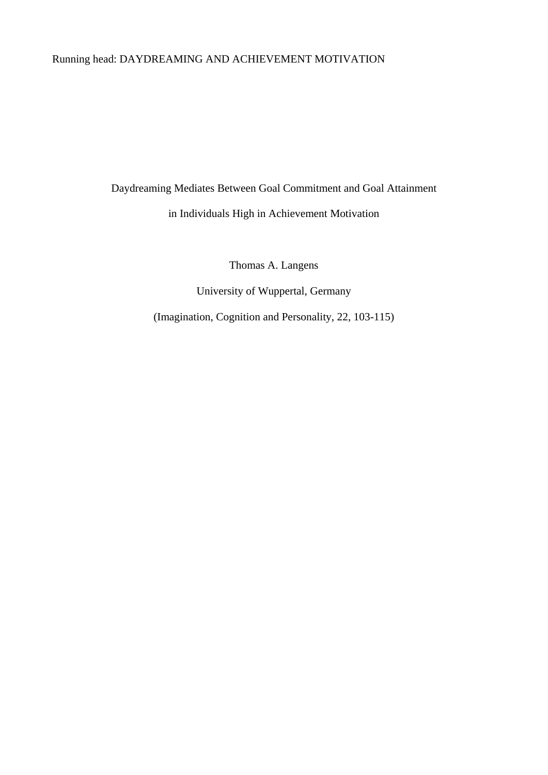# Running head: DAYDREAMING AND ACHIEVEMENT MOTIVATION

Daydreaming Mediates Between Goal Commitment and Goal Attainment

in Individuals High in Achievement Motivation

Thomas A. Langens

University of Wuppertal, Germany

(Imagination, Cognition and Personality, 22, 103-115)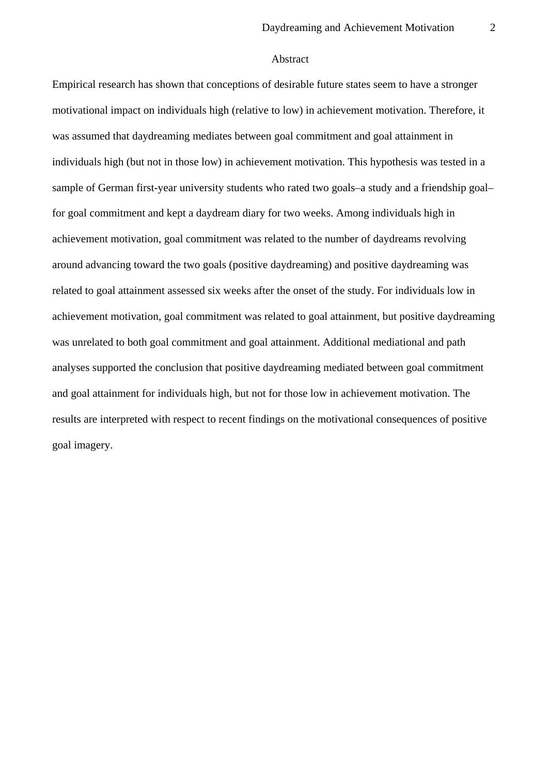### Abstract

Empirical research has shown that conceptions of desirable future states seem to have a stronger motivational impact on individuals high (relative to low) in achievement motivation. Therefore, it was assumed that daydreaming mediates between goal commitment and goal attainment in individuals high (but not in those low) in achievement motivation. This hypothesis was tested in a sample of German first-year university students who rated two goals–a study and a friendship goal– for goal commitment and kept a daydream diary for two weeks. Among individuals high in achievement motivation, goal commitment was related to the number of daydreams revolving around advancing toward the two goals (positive daydreaming) and positive daydreaming was related to goal attainment assessed six weeks after the onset of the study. For individuals low in achievement motivation, goal commitment was related to goal attainment, but positive daydreaming was unrelated to both goal commitment and goal attainment. Additional mediational and path analyses supported the conclusion that positive daydreaming mediated between goal commitment and goal attainment for individuals high, but not for those low in achievement motivation. The results are interpreted with respect to recent findings on the motivational consequences of positive goal imagery.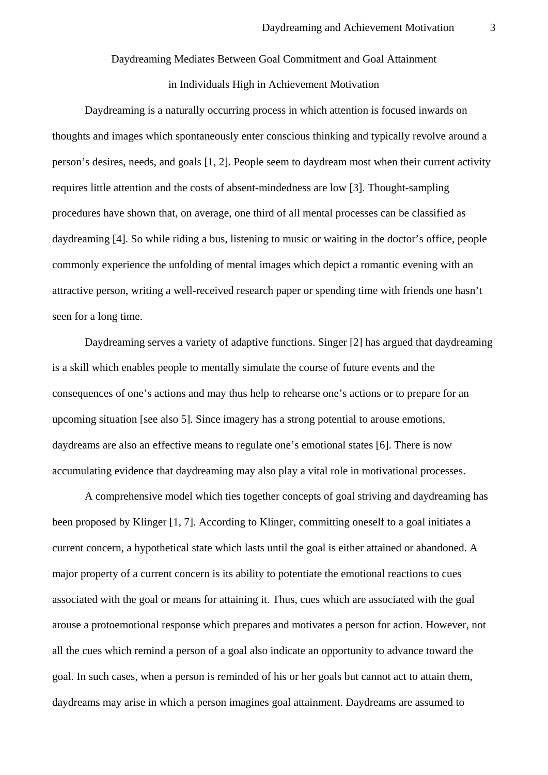# Daydreaming Mediates Between Goal Commitment and Goal Attainment in Individuals High in Achievement Motivation

Daydreaming is a naturally occurring process in which attention is focused inwards on thoughts and images which spontaneously enter conscious thinking and typically revolve around a person's desires, needs, and goals [1, 2]. People seem to daydream most when their current activity requires little attention and the costs of absent-mindedness are low [3]. Thought-sampling procedures have shown that, on average, one third of all mental processes can be classified as daydreaming [4]. So while riding a bus, listening to music or waiting in the doctor's office, people commonly experience the unfolding of mental images which depict a romantic evening with an attractive person, writing a well-received research paper or spending time with friends one hasn't seen for a long time.

Daydreaming serves a variety of adaptive functions. Singer [2] has argued that daydreaming is a skill which enables people to mentally simulate the course of future events and the consequences of one's actions and may thus help to rehearse one's actions or to prepare for an upcoming situation [see also 5]. Since imagery has a strong potential to arouse emotions, daydreams are also an effective means to regulate one's emotional states [6]. There is now accumulating evidence that daydreaming may also play a vital role in motivational processes.

A comprehensive model which ties together concepts of goal striving and daydreaming has been proposed by Klinger [1, 7]. According to Klinger, committing oneself to a goal initiates a current concern, a hypothetical state which lasts until the goal is either attained or abandoned. A major property of a current concern is its ability to potentiate the emotional reactions to cues associated with the goal or means for attaining it. Thus, cues which are associated with the goal arouse a protoemotional response which prepares and motivates a person for action. However, not all the cues which remind a person of a goal also indicate an opportunity to advance toward the goal. In such cases, when a person is reminded of his or her goals but cannot act to attain them, daydreams may arise in which a person imagines goal attainment. Daydreams are assumed to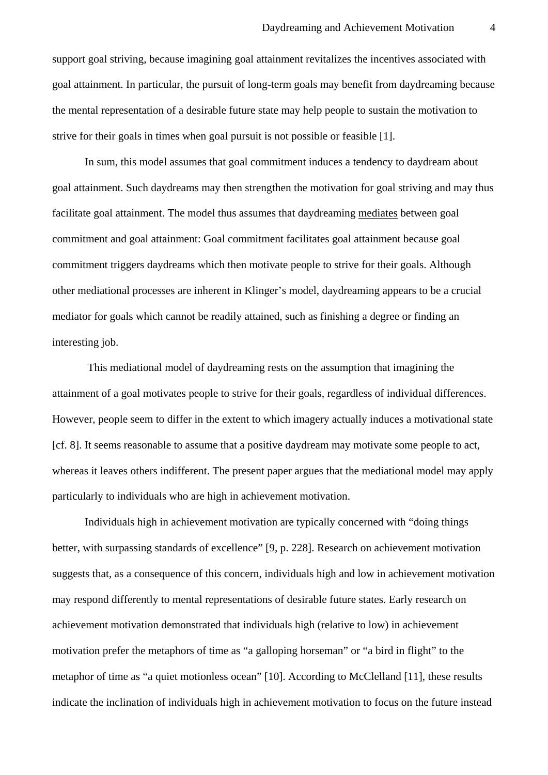support goal striving, because imagining goal attainment revitalizes the incentives associated with goal attainment. In particular, the pursuit of long-term goals may benefit from daydreaming because the mental representation of a desirable future state may help people to sustain the motivation to strive for their goals in times when goal pursuit is not possible or feasible [1].

In sum, this model assumes that goal commitment induces a tendency to daydream about goal attainment. Such daydreams may then strengthen the motivation for goal striving and may thus facilitate goal attainment. The model thus assumes that daydreaming mediates between goal commitment and goal attainment: Goal commitment facilitates goal attainment because goal commitment triggers daydreams which then motivate people to strive for their goals. Although other mediational processes are inherent in Klinger's model, daydreaming appears to be a crucial mediator for goals which cannot be readily attained, such as finishing a degree or finding an interesting job.

 This mediational model of daydreaming rests on the assumption that imagining the attainment of a goal motivates people to strive for their goals, regardless of individual differences. However, people seem to differ in the extent to which imagery actually induces a motivational state [cf. 8]. It seems reasonable to assume that a positive daydream may motivate some people to act, whereas it leaves others indifferent. The present paper argues that the mediational model may apply particularly to individuals who are high in achievement motivation.

Individuals high in achievement motivation are typically concerned with "doing things better, with surpassing standards of excellence" [9, p. 228]. Research on achievement motivation suggests that, as a consequence of this concern, individuals high and low in achievement motivation may respond differently to mental representations of desirable future states. Early research on achievement motivation demonstrated that individuals high (relative to low) in achievement motivation prefer the metaphors of time as "a galloping horseman" or "a bird in flight" to the metaphor of time as "a quiet motionless ocean" [10]. According to McClelland [11], these results indicate the inclination of individuals high in achievement motivation to focus on the future instead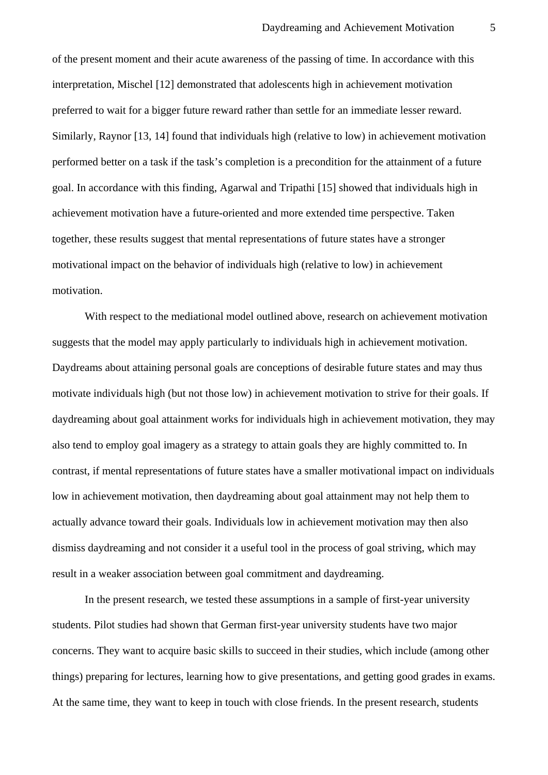of the present moment and their acute awareness of the passing of time. In accordance with this interpretation, Mischel [12] demonstrated that adolescents high in achievement motivation preferred to wait for a bigger future reward rather than settle for an immediate lesser reward. Similarly, Raynor [13, 14] found that individuals high (relative to low) in achievement motivation performed better on a task if the task's completion is a precondition for the attainment of a future goal. In accordance with this finding, Agarwal and Tripathi [15] showed that individuals high in achievement motivation have a future-oriented and more extended time perspective. Taken together, these results suggest that mental representations of future states have a stronger motivational impact on the behavior of individuals high (relative to low) in achievement motivation.

With respect to the mediational model outlined above, research on achievement motivation suggests that the model may apply particularly to individuals high in achievement motivation. Daydreams about attaining personal goals are conceptions of desirable future states and may thus motivate individuals high (but not those low) in achievement motivation to strive for their goals. If daydreaming about goal attainment works for individuals high in achievement motivation, they may also tend to employ goal imagery as a strategy to attain goals they are highly committed to. In contrast, if mental representations of future states have a smaller motivational impact on individuals low in achievement motivation, then daydreaming about goal attainment may not help them to actually advance toward their goals. Individuals low in achievement motivation may then also dismiss daydreaming and not consider it a useful tool in the process of goal striving, which may result in a weaker association between goal commitment and daydreaming.

In the present research, we tested these assumptions in a sample of first-year university students. Pilot studies had shown that German first-year university students have two major concerns. They want to acquire basic skills to succeed in their studies, which include (among other things) preparing for lectures, learning how to give presentations, and getting good grades in exams. At the same time, they want to keep in touch with close friends. In the present research, students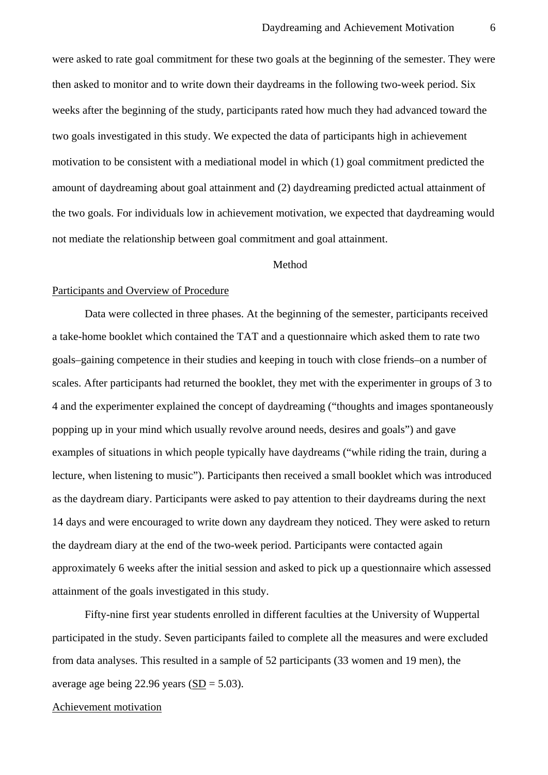were asked to rate goal commitment for these two goals at the beginning of the semester. They were then asked to monitor and to write down their daydreams in the following two-week period. Six weeks after the beginning of the study, participants rated how much they had advanced toward the two goals investigated in this study. We expected the data of participants high in achievement motivation to be consistent with a mediational model in which (1) goal commitment predicted the amount of daydreaming about goal attainment and (2) daydreaming predicted actual attainment of the two goals. For individuals low in achievement motivation, we expected that daydreaming would not mediate the relationship between goal commitment and goal attainment.

#### Method

### Participants and Overview of Procedure

Data were collected in three phases. At the beginning of the semester, participants received a take-home booklet which contained the TAT and a questionnaire which asked them to rate two goals–gaining competence in their studies and keeping in touch with close friends–on a number of scales. After participants had returned the booklet, they met with the experimenter in groups of 3 to 4 and the experimenter explained the concept of daydreaming ("thoughts and images spontaneously popping up in your mind which usually revolve around needs, desires and goals") and gave examples of situations in which people typically have daydreams ("while riding the train, during a lecture, when listening to music"). Participants then received a small booklet which was introduced as the daydream diary. Participants were asked to pay attention to their daydreams during the next 14 days and were encouraged to write down any daydream they noticed. They were asked to return the daydream diary at the end of the two-week period. Participants were contacted again approximately 6 weeks after the initial session and asked to pick up a questionnaire which assessed attainment of the goals investigated in this study.

Fifty-nine first year students enrolled in different faculties at the University of Wuppertal participated in the study. Seven participants failed to complete all the measures and were excluded from data analyses. This resulted in a sample of 52 participants (33 women and 19 men), the average age being 22.96 years  $(SD = 5.03)$ .

#### Achievement motivation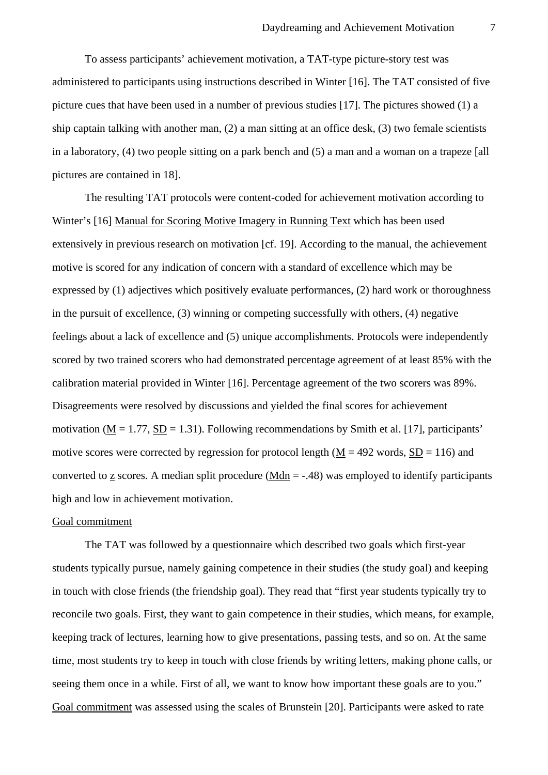To assess participants' achievement motivation, a TAT-type picture-story test was administered to participants using instructions described in Winter [16]. The TAT consisted of five picture cues that have been used in a number of previous studies [17]. The pictures showed (1) a ship captain talking with another man, (2) a man sitting at an office desk, (3) two female scientists in a laboratory, (4) two people sitting on a park bench and (5) a man and a woman on a trapeze [all pictures are contained in 18].

The resulting TAT protocols were content-coded for achievement motivation according to Winter's [16] Manual for Scoring Motive Imagery in Running Text which has been used extensively in previous research on motivation [cf. 19]. According to the manual, the achievement motive is scored for any indication of concern with a standard of excellence which may be expressed by (1) adjectives which positively evaluate performances, (2) hard work or thoroughness in the pursuit of excellence, (3) winning or competing successfully with others, (4) negative feelings about a lack of excellence and (5) unique accomplishments. Protocols were independently scored by two trained scorers who had demonstrated percentage agreement of at least 85% with the calibration material provided in Winter [16]. Percentage agreement of the two scorers was 89%. Disagreements were resolved by discussions and yielded the final scores for achievement motivation ( $M = 1.77$ ,  $SD = 1.31$ ). Following recommendations by Smith et al. [17], participants' motive scores were corrected by regression for protocol length ( $M = 492$  words,  $SD = 116$ ) and converted to z scores. A median split procedure (Mdn  $=$  -.48) was employed to identify participants high and low in achievement motivation.

#### Goal commitment

The TAT was followed by a questionnaire which described two goals which first-year students typically pursue, namely gaining competence in their studies (the study goal) and keeping in touch with close friends (the friendship goal). They read that "first year students typically try to reconcile two goals. First, they want to gain competence in their studies, which means, for example, keeping track of lectures, learning how to give presentations, passing tests, and so on. At the same time, most students try to keep in touch with close friends by writing letters, making phone calls, or seeing them once in a while. First of all, we want to know how important these goals are to you." Goal commitment was assessed using the scales of Brunstein [20]. Participants were asked to rate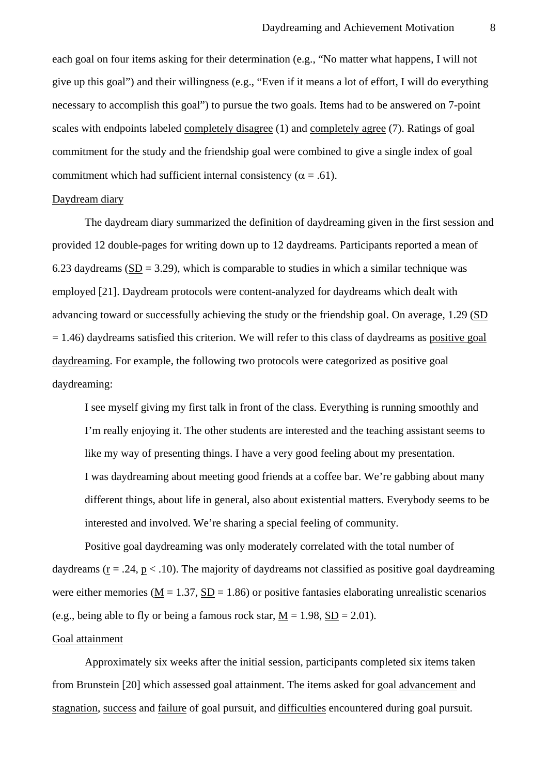each goal on four items asking for their determination (e.g., "No matter what happens, I will not give up this goal") and their willingness (e.g., "Even if it means a lot of effort, I will do everything necessary to accomplish this goal") to pursue the two goals. Items had to be answered on 7-point scales with endpoints labeled completely disagree (1) and completely agree (7). Ratings of goal commitment for the study and the friendship goal were combined to give a single index of goal commitment which had sufficient internal consistency ( $\alpha = .61$ ).

### Daydream diary

The daydream diary summarized the definition of daydreaming given in the first session and provided 12 double-pages for writing down up to 12 daydreams. Participants reported a mean of 6.23 daydreams (SD = 3.29), which is comparable to studies in which a similar technique was employed [21]. Daydream protocols were content-analyzed for daydreams which dealt with advancing toward or successfully achieving the study or the friendship goal. On average, 1.29 (SD  $= 1.46$ ) daydreams satisfied this criterion. We will refer to this class of daydreams as positive goal daydreaming. For example, the following two protocols were categorized as positive goal daydreaming:

I see myself giving my first talk in front of the class. Everything is running smoothly and I'm really enjoying it. The other students are interested and the teaching assistant seems to like my way of presenting things. I have a very good feeling about my presentation. I was daydreaming about meeting good friends at a coffee bar. We're gabbing about many different things, about life in general, also about existential matters. Everybody seems to be interested and involved. We're sharing a special feeling of community.

Positive goal daydreaming was only moderately correlated with the total number of daydreams ( $r = .24$ ,  $p < .10$ ). The majority of daydreams not classified as positive goal daydreaming were either memories ( $M = 1.37$ ,  $SD = 1.86$ ) or positive fantasies elaborating unrealistic scenarios (e.g., being able to fly or being a famous rock star,  $M = 1.98$ ,  $SD = 2.01$ ).

### Goal attainment

Approximately six weeks after the initial session, participants completed six items taken from Brunstein [20] which assessed goal attainment. The items asked for goal advancement and stagnation, success and failure of goal pursuit, and difficulties encountered during goal pursuit.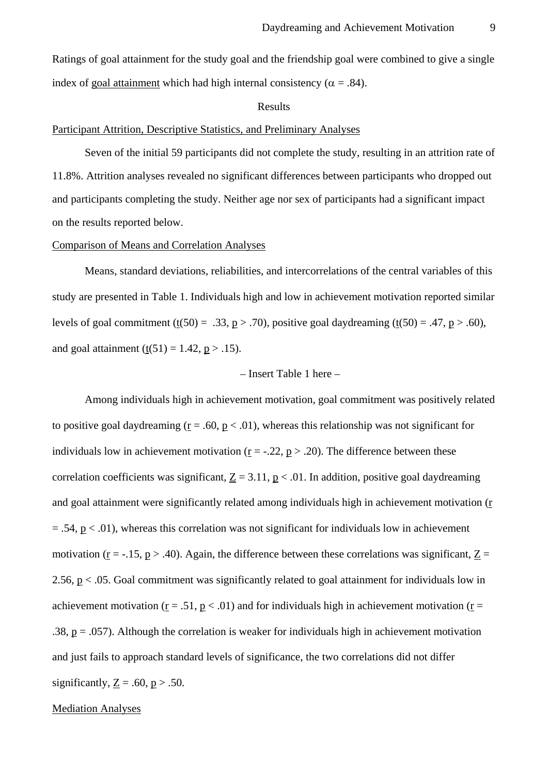#### Results

#### Participant Attrition, Descriptive Statistics, and Preliminary Analyses

Seven of the initial 59 participants did not complete the study, resulting in an attrition rate of 11.8%. Attrition analyses revealed no significant differences between participants who dropped out and participants completing the study. Neither age nor sex of participants had a significant impact on the results reported below.

#### Comparison of Means and Correlation Analyses

Means, standard deviations, reliabilities, and intercorrelations of the central variables of this study are presented in Table 1. Individuals high and low in achievement motivation reported similar levels of goal commitment (t(50) = .33, p > .70), positive goal daydreaming (t(50) = .47, p > .60), and goal attainment (t(51) = 1.42,  $p > .15$ ).

#### – Insert Table 1 here –

Among individuals high in achievement motivation, goal commitment was positively related to positive goal daydreaming ( $\underline{r} = .60$ ,  $\underline{p} < .01$ ), whereas this relationship was not significant for individuals low in achievement motivation ( $\underline{r} = -.22$ ,  $\underline{p} > .20$ ). The difference between these correlation coefficients was significant,  $Z = 3.11$ ,  $p < .01$ . In addition, positive goal daydreaming and goal attainment were significantly related among individuals high in achievement motivation (r  $= .54$ ,  $p < .01$ ), whereas this correlation was not significant for individuals low in achievement motivation ( $\underline{r}$  = -.15,  $\underline{p}$  > .40). Again, the difference between these correlations was significant,  $\underline{Z}$  = 2.56, p < .05. Goal commitment was significantly related to goal attainment for individuals low in achievement motivation ( $r = .51$ ,  $p < .01$ ) and for individuals high in achievement motivation ( $r =$ .38,  $p = .057$ ). Although the correlation is weaker for individuals high in achievement motivation and just fails to approach standard levels of significance, the two correlations did not differ significantly,  $Z = .60$ ,  $p > .50$ .

#### Mediation Analyses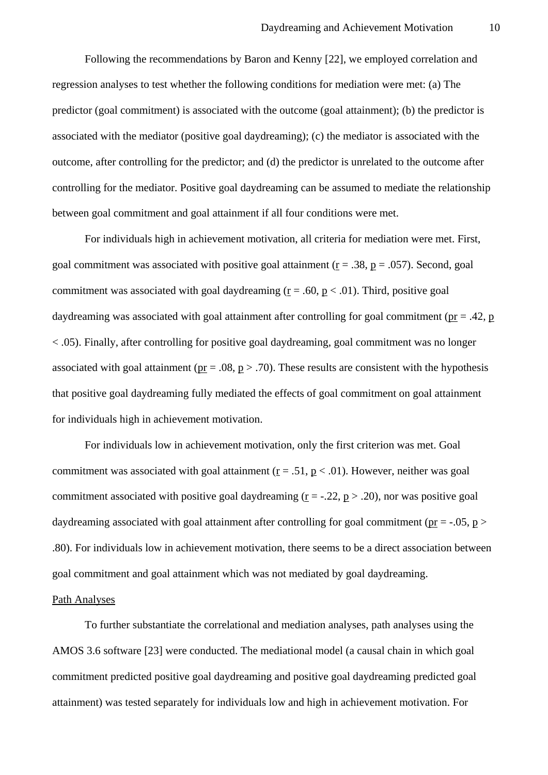Following the recommendations by Baron and Kenny [22], we employed correlation and regression analyses to test whether the following conditions for mediation were met: (a) The predictor (goal commitment) is associated with the outcome (goal attainment); (b) the predictor is associated with the mediator (positive goal daydreaming); (c) the mediator is associated with the outcome, after controlling for the predictor; and (d) the predictor is unrelated to the outcome after controlling for the mediator. Positive goal daydreaming can be assumed to mediate the relationship between goal commitment and goal attainment if all four conditions were met.

For individuals high in achievement motivation, all criteria for mediation were met. First, goal commitment was associated with positive goal attainment ( $r = .38$ ,  $p = .057$ ). Second, goal commitment was associated with goal daydreaming ( $r = .60$ ,  $p < .01$ ). Third, positive goal daydreaming was associated with goal attainment after controlling for goal commitment ( $p = .42$ ,  $p$ ) < .05). Finally, after controlling for positive goal daydreaming, goal commitment was no longer associated with goal attainment ( $pr = .08$ ,  $p > .70$ ). These results are consistent with the hypothesis that positive goal daydreaming fully mediated the effects of goal commitment on goal attainment for individuals high in achievement motivation.

For individuals low in achievement motivation, only the first criterion was met. Goal commitment was associated with goal attainment ( $r = .51$ ,  $p < .01$ ). However, neither was goal commitment associated with positive goal daydreaming  $(r = -0.22, p > 0.20)$ , nor was positive goal daydreaming associated with goal attainment after controlling for goal commitment ( $pr = -0.05$ ,  $p >$ .80). For individuals low in achievement motivation, there seems to be a direct association between goal commitment and goal attainment which was not mediated by goal daydreaming.

#### Path Analyses

To further substantiate the correlational and mediation analyses, path analyses using the AMOS 3.6 software [23] were conducted. The mediational model (a causal chain in which goal commitment predicted positive goal daydreaming and positive goal daydreaming predicted goal attainment) was tested separately for individuals low and high in achievement motivation. For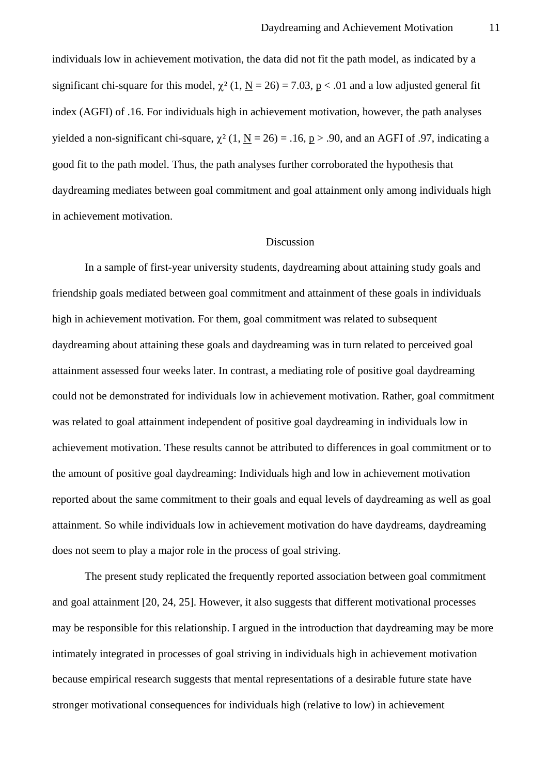individuals low in achievement motivation, the data did not fit the path model, as indicated by a significant chi-square for this model,  $\chi^2$  (1, <u>N</u> = 26) = 7.03, <u>p</u> < .01 and a low adjusted general fit index (AGFI) of .16. For individuals high in achievement motivation, however, the path analyses yielded a non-significant chi-square,  $\chi^2$  (1, N = 26) = .16, p > .90, and an AGFI of .97, indicating a good fit to the path model. Thus, the path analyses further corroborated the hypothesis that daydreaming mediates between goal commitment and goal attainment only among individuals high in achievement motivation.

### Discussion

In a sample of first-year university students, daydreaming about attaining study goals and friendship goals mediated between goal commitment and attainment of these goals in individuals high in achievement motivation. For them, goal commitment was related to subsequent daydreaming about attaining these goals and daydreaming was in turn related to perceived goal attainment assessed four weeks later. In contrast, a mediating role of positive goal daydreaming could not be demonstrated for individuals low in achievement motivation. Rather, goal commitment was related to goal attainment independent of positive goal daydreaming in individuals low in achievement motivation. These results cannot be attributed to differences in goal commitment or to the amount of positive goal daydreaming: Individuals high and low in achievement motivation reported about the same commitment to their goals and equal levels of daydreaming as well as goal attainment. So while individuals low in achievement motivation do have daydreams, daydreaming does not seem to play a major role in the process of goal striving.

The present study replicated the frequently reported association between goal commitment and goal attainment [20, 24, 25]. However, it also suggests that different motivational processes may be responsible for this relationship. I argued in the introduction that daydreaming may be more intimately integrated in processes of goal striving in individuals high in achievement motivation because empirical research suggests that mental representations of a desirable future state have stronger motivational consequences for individuals high (relative to low) in achievement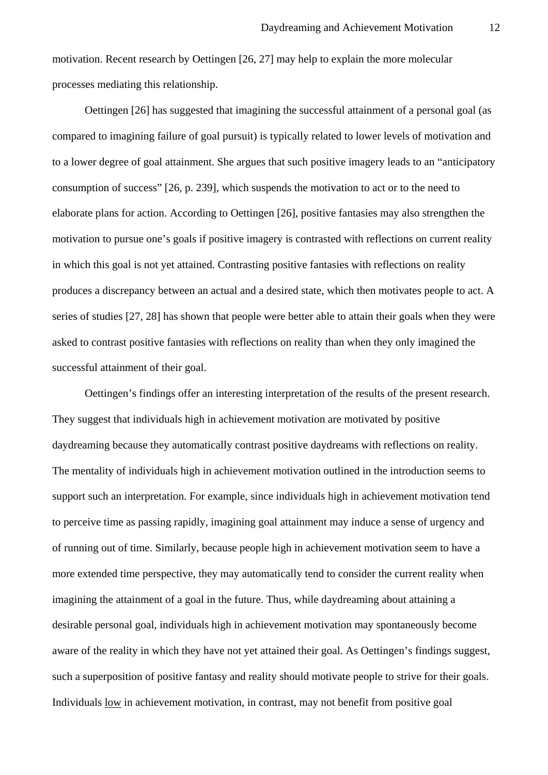motivation. Recent research by Oettingen [26, 27] may help to explain the more molecular processes mediating this relationship.

Oettingen [26] has suggested that imagining the successful attainment of a personal goal (as compared to imagining failure of goal pursuit) is typically related to lower levels of motivation and to a lower degree of goal attainment. She argues that such positive imagery leads to an "anticipatory consumption of success" [26, p. 239], which suspends the motivation to act or to the need to elaborate plans for action. According to Oettingen [26], positive fantasies may also strengthen the motivation to pursue one's goals if positive imagery is contrasted with reflections on current reality in which this goal is not yet attained. Contrasting positive fantasies with reflections on reality produces a discrepancy between an actual and a desired state, which then motivates people to act. A series of studies [27, 28] has shown that people were better able to attain their goals when they were asked to contrast positive fantasies with reflections on reality than when they only imagined the successful attainment of their goal.

Oettingen's findings offer an interesting interpretation of the results of the present research. They suggest that individuals high in achievement motivation are motivated by positive daydreaming because they automatically contrast positive daydreams with reflections on reality. The mentality of individuals high in achievement motivation outlined in the introduction seems to support such an interpretation. For example, since individuals high in achievement motivation tend to perceive time as passing rapidly, imagining goal attainment may induce a sense of urgency and of running out of time. Similarly, because people high in achievement motivation seem to have a more extended time perspective, they may automatically tend to consider the current reality when imagining the attainment of a goal in the future. Thus, while daydreaming about attaining a desirable personal goal, individuals high in achievement motivation may spontaneously become aware of the reality in which they have not yet attained their goal. As Oettingen's findings suggest, such a superposition of positive fantasy and reality should motivate people to strive for their goals. Individuals low in achievement motivation, in contrast, may not benefit from positive goal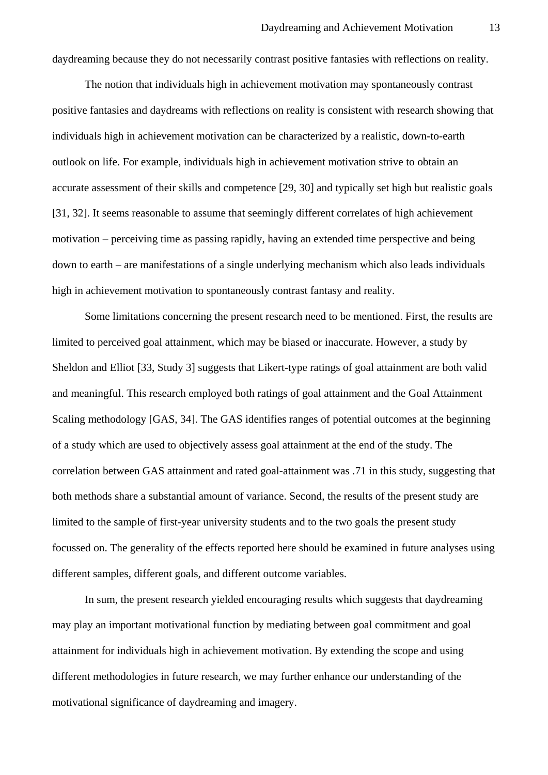daydreaming because they do not necessarily contrast positive fantasies with reflections on reality.

The notion that individuals high in achievement motivation may spontaneously contrast positive fantasies and daydreams with reflections on reality is consistent with research showing that individuals high in achievement motivation can be characterized by a realistic, down-to-earth outlook on life. For example, individuals high in achievement motivation strive to obtain an accurate assessment of their skills and competence [29, 30] and typically set high but realistic goals [31, 32]. It seems reasonable to assume that seemingly different correlates of high achievement motivation – perceiving time as passing rapidly, having an extended time perspective and being down to earth – are manifestations of a single underlying mechanism which also leads individuals high in achievement motivation to spontaneously contrast fantasy and reality.

Some limitations concerning the present research need to be mentioned. First, the results are limited to perceived goal attainment, which may be biased or inaccurate. However, a study by Sheldon and Elliot [33, Study 3] suggests that Likert-type ratings of goal attainment are both valid and meaningful. This research employed both ratings of goal attainment and the Goal Attainment Scaling methodology [GAS, 34]. The GAS identifies ranges of potential outcomes at the beginning of a study which are used to objectively assess goal attainment at the end of the study. The correlation between GAS attainment and rated goal-attainment was .71 in this study, suggesting that both methods share a substantial amount of variance. Second, the results of the present study are limited to the sample of first-year university students and to the two goals the present study focussed on. The generality of the effects reported here should be examined in future analyses using different samples, different goals, and different outcome variables.

In sum, the present research yielded encouraging results which suggests that daydreaming may play an important motivational function by mediating between goal commitment and goal attainment for individuals high in achievement motivation. By extending the scope and using different methodologies in future research, we may further enhance our understanding of the motivational significance of daydreaming and imagery.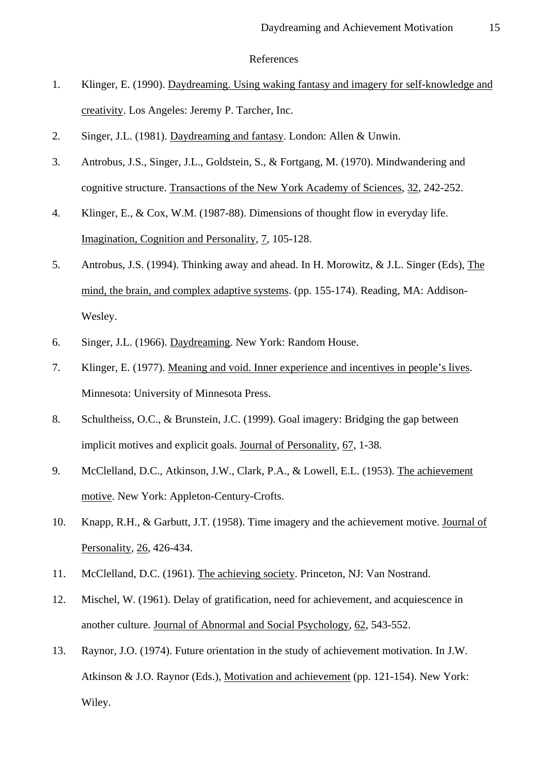### References

- 1. Klinger, E. (1990). Daydreaming. Using waking fantasy and imagery for self-knowledge and creativity. Los Angeles: Jeremy P. Tarcher, Inc.
- 2. Singer, J.L. (1981). Daydreaming and fantasy. London: Allen & Unwin.
- 3. Antrobus, J.S., Singer, J.L., Goldstein, S., & Fortgang, M. (1970). Mindwandering and cognitive structure. Transactions of the New York Academy of Sciences, 32, 242-252.
- 4. Klinger, E., & Cox, W.M. (1987-88). Dimensions of thought flow in everyday life. Imagination, Cognition and Personality, 7, 105-128.
- 5. Antrobus, J.S. (1994). Thinking away and ahead. In H. Morowitz, & J.L. Singer (Eds), The mind, the brain, and complex adaptive systems. (pp. 155-174). Reading, MA: Addison-Wesley.
- 6. Singer, J.L. (1966). Daydreaming. New York: Random House.
- 7. Klinger, E. (1977). Meaning and void. Inner experience and incentives in people's lives. Minnesota: University of Minnesota Press.
- 8. Schultheiss, O.C., & Brunstein, J.C. (1999). Goal imagery: Bridging the gap between implicit motives and explicit goals. Journal of Personality, 67, 1-38.
- 9. McClelland, D.C., Atkinson, J.W., Clark, P.A., & Lowell, E.L. (1953). The achievement motive. New York: Appleton-Century-Crofts.
- 10. Knapp, R.H., & Garbutt, J.T. (1958). Time imagery and the achievement motive. Journal of Personality, 26, 426-434.
- 11. McClelland, D.C. (1961). The achieving society. Princeton, NJ: Van Nostrand.
- 12. Mischel, W. (1961). Delay of gratification, need for achievement, and acquiescence in another culture. Journal of Abnormal and Social Psychology, 62, 543-552.
- 13. Raynor, J.O. (1974). Future orientation in the study of achievement motivation. In J.W. Atkinson & J.O. Raynor (Eds.), Motivation and achievement (pp. 121-154). New York: Wiley.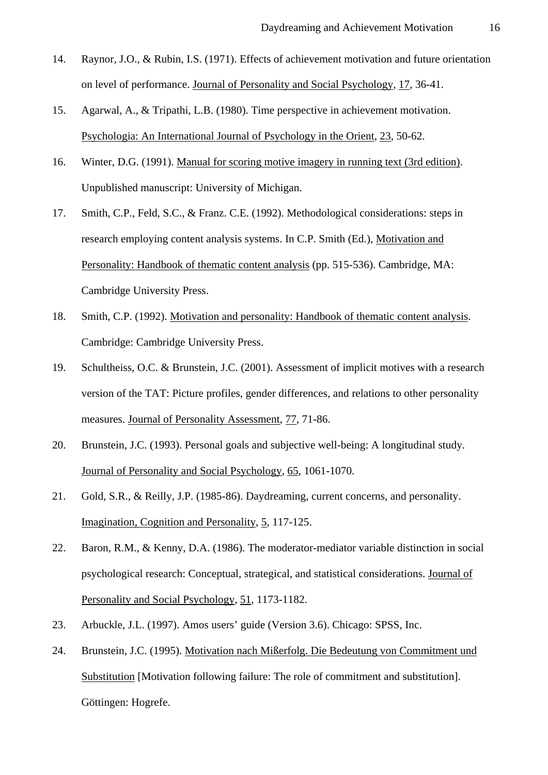- 14. Raynor, J.O., & Rubin, I.S. (1971). Effects of achievement motivation and future orientation on level of performance. Journal of Personality and Social Psychology, 17, 36-41.
- 15. Agarwal, A., & Tripathi, L.B. (1980). Time perspective in achievement motivation. Psychologia: An International Journal of Psychology in the Orient, 23, 50-62.
- 16. Winter, D.G. (1991). Manual for scoring motive imagery in running text (3rd edition). Unpublished manuscript: University of Michigan.
- 17. Smith, C.P., Feld, S.C., & Franz. C.E. (1992). Methodological considerations: steps in research employing content analysis systems. In C.P. Smith (Ed.), Motivation and Personality: Handbook of thematic content analysis (pp. 515-536). Cambridge, MA: Cambridge University Press.
- 18. Smith, C.P. (1992). Motivation and personality: Handbook of thematic content analysis. Cambridge: Cambridge University Press.
- 19. Schultheiss, O.C. & Brunstein, J.C. (2001). Assessment of implicit motives with a research version of the TAT: Picture profiles, gender differences, and relations to other personality measures. Journal of Personality Assessment, 77, 71-86.
- 20. Brunstein, J.C. (1993). Personal goals and subjective well-being: A longitudinal study. Journal of Personality and Social Psychology, 65, 1061-1070.
- 21. Gold, S.R., & Reilly, J.P. (1985-86). Daydreaming, current concerns, and personality. Imagination, Cognition and Personality, 5, 117-125.
- 22. Baron, R.M., & Kenny, D.A. (1986). The moderator-mediator variable distinction in social psychological research: Conceptual, strategical, and statistical considerations. Journal of Personality and Social Psychology, 51, 1173-1182.
- 23. Arbuckle, J.L. (1997). Amos users' guide (Version 3.6). Chicago: SPSS, Inc.
- 24. Brunstein, J.C. (1995). Motivation nach Mißerfolg. Die Bedeutung von Commitment und Substitution [Motivation following failure: The role of commitment and substitution]. Göttingen: Hogrefe.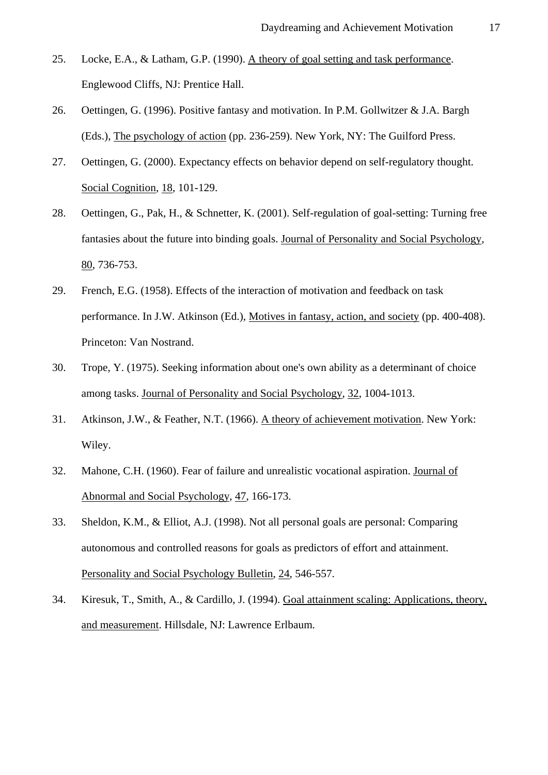- 25. Locke, E.A., & Latham, G.P. (1990). A theory of goal setting and task performance. Englewood Cliffs, NJ: Prentice Hall.
- 26. Oettingen, G. (1996). Positive fantasy and motivation. In P.M. Gollwitzer & J.A. Bargh (Eds.), The psychology of action (pp. 236-259). New York, NY: The Guilford Press.
- 27. Oettingen, G. (2000). Expectancy effects on behavior depend on self-regulatory thought. Social Cognition, 18, 101-129.
- 28. Oettingen, G., Pak, H., & Schnetter, K. (2001). Self-regulation of goal-setting: Turning free fantasies about the future into binding goals. Journal of Personality and Social Psychology, 80, 736-753.
- 29. French, E.G. (1958). Effects of the interaction of motivation and feedback on task performance. In J.W. Atkinson (Ed.), Motives in fantasy, action, and society (pp. 400-408). Princeton: Van Nostrand.
- 30. Trope, Y. (1975). Seeking information about one's own ability as a determinant of choice among tasks. Journal of Personality and Social Psychology, 32, 1004-1013.
- 31. Atkinson, J.W., & Feather, N.T. (1966). A theory of achievement motivation. New York: Wiley.
- 32. Mahone, C.H. (1960). Fear of failure and unrealistic vocational aspiration. Journal of Abnormal and Social Psychology, 47, 166-173.
- 33. Sheldon, K.M., & Elliot, A.J. (1998). Not all personal goals are personal: Comparing autonomous and controlled reasons for goals as predictors of effort and attainment. Personality and Social Psychology Bulletin, 24, 546-557.
- 34. Kiresuk, T., Smith, A., & Cardillo, J. (1994). Goal attainment scaling: Applications, theory, and measurement. Hillsdale, NJ: Lawrence Erlbaum.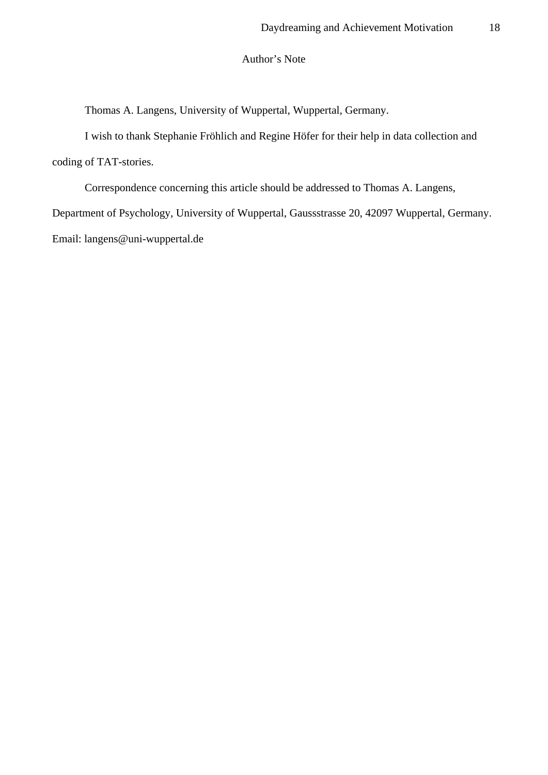## Author's Note

Thomas A. Langens, University of Wuppertal, Wuppertal, Germany.

I wish to thank Stephanie Fröhlich and Regine Höfer for their help in data collection and coding of TAT-stories.

Correspondence concerning this article should be addressed to Thomas A. Langens, Department of Psychology, University of Wuppertal, Gaussstrasse 20, 42097 Wuppertal, Germany. Email: langens@uni-wuppertal.de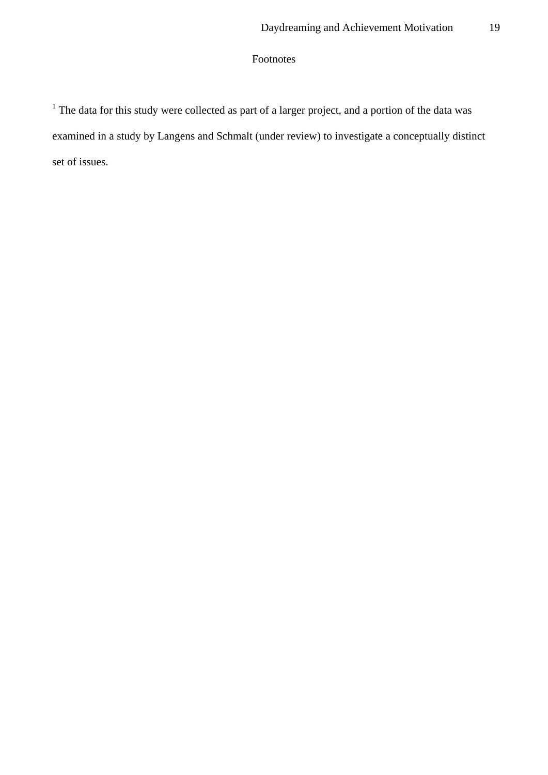# Footnotes

 $<sup>1</sup>$  The data for this study were collected as part of a larger project, and a portion of the data was</sup> examined in a study by Langens and Schmalt (under review) to investigate a conceptually distinct set of issues.